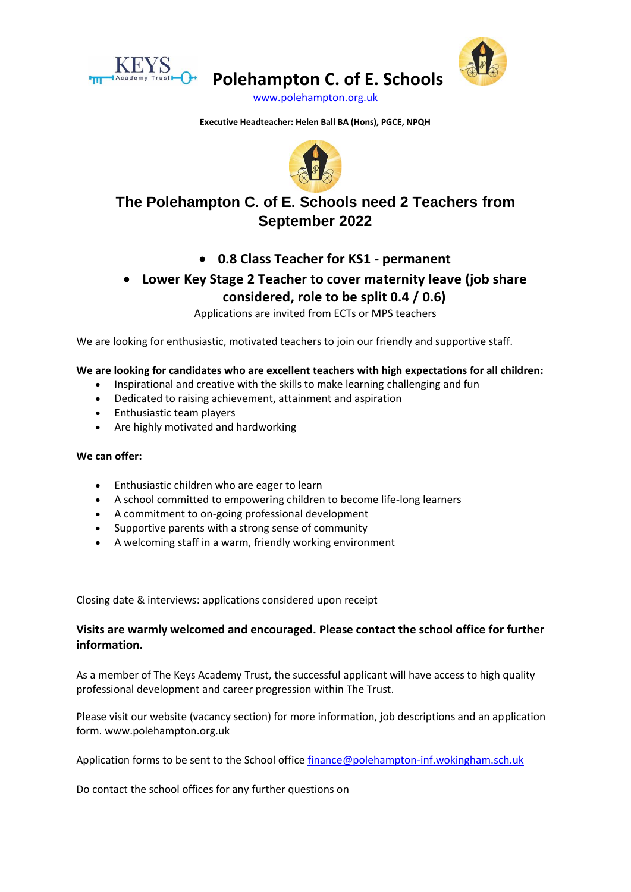



[www.polehampton.org.uk](http://www.polehampton.org.uk/)

**Executive Headteacher: Helen Ball BA (Hons), PGCE, NPQH**



# **The Polehampton C. of E. Schools need 2 Teachers from September 2022**

### • **0.8 Class Teacher for KS1 - permanent**

## • **Lower Key Stage 2 Teacher to cover maternity leave (job share considered, role to be split 0.4 / 0.6)**

Applications are invited from ECTs or MPS teachers

We are looking for enthusiastic, motivated teachers to join our friendly and supportive staff.

#### **We are looking for candidates who are excellent teachers with high expectations for all children:**

- Inspirational and creative with the skills to make learning challenging and fun
- Dedicated to raising achievement, attainment and aspiration
- Enthusiastic team players
- Are highly motivated and hardworking

#### **We can offer:**

- Enthusiastic children who are eager to learn
- A school committed to empowering children to become life-long learners
- A commitment to on-going professional development
- Supportive parents with a strong sense of community
- A welcoming staff in a warm, friendly working environment

Closing date & interviews: applications considered upon receipt

### **Visits are warmly welcomed and encouraged. Please contact the school office for further information.**

As a member of The Keys Academy Trust, the successful applicant will have access to high quality professional development and career progression within The Trust.

Please visit our website (vacancy section) for more information, job descriptions and an application form. [www.polehampton.org.uk](http://www.polehampton.org.uk/)

Application forms to be sent to the School office [finance@polehampton-inf.wokingham.sch.uk](mailto:finance@polehampton-inf.wokingham.sch.uk)

Do contact the school offices for any further questions on